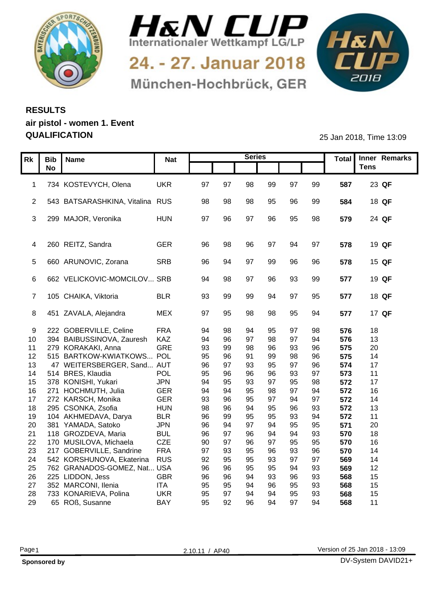



24. - 27. Januar 2018 München-Hochbrück, GER



## **RESULTS air pistol - women 1. Event QUALIFICATION** 25 Jan 2018, Time 13:09

|                 | Rk   Bib   Name |                                   | <b>Nat</b> |    |     | <b>Series</b> |    |     |    |     | Total   Inner Remarks |
|-----------------|-----------------|-----------------------------------|------------|----|-----|---------------|----|-----|----|-----|-----------------------|
|                 | <b>No</b>       |                                   |            |    |     |               |    |     |    |     | <b>Tens</b>           |
|                 |                 |                                   |            |    |     |               |    |     |    |     |                       |
|                 |                 | 1 734 KOSTEVYCH, Olena            | <b>UKR</b> | 97 | 97  | 98            | 99 | 97  | 99 | 587 | 23 QF                 |
|                 |                 |                                   |            |    |     |               |    |     |    |     |                       |
|                 |                 | 2 543 BATSARASHKINA, Vitalina RUS |            | 98 | 98  | 98            | 95 | 96  | 99 | 584 | 18 QF                 |
|                 |                 |                                   |            |    |     |               |    |     |    |     |                       |
|                 |                 | 3 299 MAJOR, Veronika             | <b>HUN</b> | 97 | 96  | 97            | 96 | 95  | 98 | 579 | 24 QF                 |
|                 |                 |                                   |            |    |     |               |    |     |    |     |                       |
|                 |                 |                                   |            |    |     |               |    |     |    |     |                       |
|                 |                 | 4 260 REITZ, Sandra               | <b>GER</b> | 96 | ۹۶  | 96            | 97 | 94  | 97 | 578 | 19 QF                 |
|                 |                 |                                   |            |    | ್⊿  |               |    |     |    |     |                       |
|                 |                 | 5 660 ARUNOVIC, Zorana            | SRB        | 96 |     | .97           | 99 | 96  | 96 | 578 | 15 QF                 |
|                 |                 | 6 662 VELICKOVIC-MOMCILOV SRB     |            |    | 98  | 97            |    |     | 99 |     | 19 QF                 |
|                 |                 |                                   |            | 94 |     |               | 96 | 93  |    | 577 |                       |
|                 |                 | 7 105 CHAIKA, Viktoria            | <b>BLR</b> | 93 | 99  | 99            | 94 | 97  | 95 | 577 | 18 QF                 |
|                 |                 |                                   |            |    |     |               |    |     |    |     |                       |
|                 |                 | 8 451 ZAVALA, Alejandra           | <b>MEX</b> | 97 | 95  | 98            | 98 | 95  | 94 | 577 | 17 QF                 |
|                 |                 |                                   |            |    |     |               |    |     |    |     |                       |
| 9               |                 | 222 GOBERVILLE, Celine            | <b>FRA</b> | 94 | 98  | -Q4           | 95 | -97 | 98 | 576 | 18                    |
| 10 <sup>°</sup> |                 | 394 BAIBUSSINOVA, Zauresh         | KAZ        | 94 | 96  | 97            | 98 | 97  | 94 | 576 | 13                    |
| 11              |                 | 279 KORAKAKI, Anna                | GRE        | 93 | 99  | 98            | 96 | 93  | 96 | 575 | 20                    |
| 12 <sub>2</sub> |                 | 515 BARTKOW-KWIATKOWS POL         |            | 95 | 96  | 91            | 99 | 98  | 96 | 575 | 14                    |
| 13              |                 | 47 WEITERSBERGER, Sand AUT        |            | 96 | 97  | 93            | 95 | 97  | 96 | 574 | 17                    |
| 14              |                 | 514 BRES, Klaudia                 | <b>POL</b> | 95 | 96  | 96            | 96 | 93  | 97 | 573 | 11                    |
| 15              |                 | 378 KONISHI, Yukari               | <b>JPN</b> | 94 | 95  | 93            | 97 | 95  | 98 | 572 | 17                    |
| 16              |                 | 271 HOCHMUTH, Julia               | GER        | 94 | 94  | 95            | 98 | 97  | 94 | 572 | 16                    |
| 17 <sub>2</sub> |                 | 272 KARSCH, Monika                | <b>GER</b> | 93 | 96  | 95            | 97 | 94  | 97 | 572 | 14                    |
| 18              |                 | 295 CSONKA, Zsofia                | <b>HUN</b> | 98 | 96  | 94            | 95 | 96  | 93 | 572 | 13                    |
| 19              |                 | 104 AKHMEDAVA, Darya              | <b>BLR</b> | 96 | 99  | 95            | 95 | 93  | 94 | 572 | 11                    |
| 20              |                 | 381 YAMADA, Satoko                | <b>JPN</b> | 96 | -94 | 97            | 94 | 95  | 95 | 571 | 20                    |
| 21              |                 | 118 GROZDEVA, Maria               | <b>BUL</b> | 96 | 97  | 96            | 94 | 94  | 93 | 570 | 18                    |
| 22              |                 | 170 MUSILOVA, Michaela            | <b>CZE</b> | 90 | 97  | 96            | 97 | 95  | 95 | 570 | 16                    |
| 23              |                 | 217 GOBERVILLE, Sandrine          | <b>FRA</b> | 97 | 93  | 95            | 96 | 93  | 96 | 570 | 14                    |
| 24              |                 | 542 KORSHUNOVA, Ekaterina         | <b>RUS</b> | 92 | 95  | 95            | 93 | 97  | 97 | 569 | 14                    |
| 25              |                 | 762 GRANADOS-GOMEZ, Nat USA       |            | 96 | 96  | 95            | 95 | 94  | 93 | 569 | 12                    |
| 26              |                 | 225 LIDDON, Jess                  | <b>GBR</b> | 96 | 96  | 94            | 93 | 96  | 93 | 568 | 15                    |
| 27              |                 | 352 MARCONI, Ilenia               | <b>ITA</b> | 95 | 95  | 94            | 96 | 95  | 93 | 568 | 15                    |
| 28              |                 | 733 KONARIEVA, Polina             | <b>UKR</b> | 95 | 97  | 94            | 94 | 95  | 93 | 568 | 15 <sub>15</sub>      |
| 29              |                 | 65 ROß, Susanne                   | <b>BAY</b> | 95 | 92  | 96            | 94 | 97  | 94 | 568 | 11                    |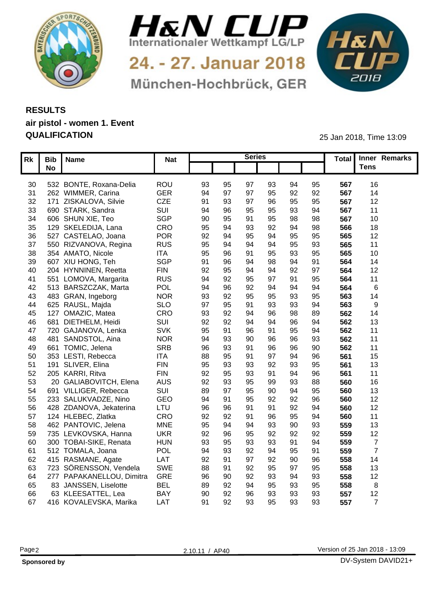



24. - 27. Januar 2018 München-Hochbrück, GER



## **RESULTS air pistol - women 1. Event QUALIFICATION** 25 Jan 2018, Time 13:09

|     | Rk Bib Name               | <b>Nat</b> |                 |    | <b>Series</b> |    |    |     | Total Inner Remarks |  |
|-----|---------------------------|------------|-----------------|----|---------------|----|----|-----|---------------------|--|
|     | No                        |            |                 |    |               |    |    |     | Tens                |  |
|     |                           |            |                 |    |               |    |    |     |                     |  |
| 30  | 532 BONTE, Roxana-Delia   | ROU        | 93<br>95        | 97 | 93            | 94 | 95 | 567 | 16                  |  |
| 31  | 262 WIMMER, Carina        | <b>GER</b> | 94<br>97        | 97 | 95            | 92 | 92 | 567 | 14                  |  |
|     | 32 171 ZISKALOVA, Silvie  | CZE        | 91<br>93        | 97 | 96            | 95 | 95 | 567 | 12                  |  |
| 33  | 690 STARK, Sandra         | SUI        | 94<br>96        | 95 | 95            | 93 | 94 | 567 | 11                  |  |
|     | 34 606 SHUN XIE, Teo      | SGP        | 90<br>95        | 91 | 95            | 98 | 98 | 567 | 10 <sup>°</sup>     |  |
| 35  | 129 SKELEDIJA, Lana       | CRO        | 95<br>94        | 93 | 92            | 94 | 98 | 566 | 18                  |  |
| 36  | 527 CASTELAO, Joana       | <b>POR</b> | 92<br>94        | 95 |               | 95 | 95 | 565 | 12                  |  |
| 37  | 550 RIZVANOVA, Regina     | <b>RUS</b> | 95<br>-94       |    |               | 95 | 93 | 565 | 11                  |  |
|     | 38 354 AMATO, Nicole      | <b>ITA</b> | 95              |    | 95            | 93 | 95 | 565 | 10                  |  |
| 39  | 607 XIU HONG, Teh         | <b>SGP</b> | 91<br>96        | 94 | 98            | 94 | 91 | 564 | 14                  |  |
| 40  | 204 HYNNINEN, Reetta      | <b>FIN</b> | 92<br>95        | 94 |               | 92 | 97 | 564 | 12                  |  |
| -41 | 551 LOMOVA, Margarita     | <b>RUS</b> | 94<br>92        | 95 |               | Q1 | 95 | 564 | 11                  |  |
|     | 42 513 BARSZCZAK, Marta   | POL        | 94<br>96        | 92 |               | 94 | 94 | 564 |                     |  |
| 43  | 483 GRAN, Ingeborg        | <b>NOR</b> | 93<br>92        | 95 | 95            | 93 | 95 | 563 | 14                  |  |
|     | 44 625 RAUSL, Majda       | <b>SLO</b> | 97<br>95        | 91 | 93            | 93 | 94 | 563 |                     |  |
| 45  | 127 OMAZIC, Matea         | CRO        | 93<br>92        | 94 | 96            | 98 | 89 | 562 | 14                  |  |
| 46  | 681 DIETHELM, Heidi       | SUI        | 92<br>92        | ۹۷ |               | 96 | 94 | 562 | 13                  |  |
|     | 47 720 GAJANOVA, Lenka    | <b>SVK</b> | 95<br>-91       |    |               | 95 | 94 | 562 | 11                  |  |
| 48  | 481 SANDSTOL, Aina        | <b>NOR</b> | 94              | 90 |               | 96 | 93 | 562 | 11                  |  |
| 49  | 661 TOMIC, Jelena         | <b>SRB</b> | 96<br>-93       | 91 | 96            | 96 | 90 | 562 | 11                  |  |
| 50  | 353 LESTI, Rebecca        | <b>ITA</b> | 88<br>95        |    |               | 94 | 96 | 561 | 15                  |  |
| 51  | 191 SLIVER, Elina         | <b>FIN</b> | 95<br>ଦ୍ୟ       | 93 | 92            | 93 | 95 | 561 | 13                  |  |
| 52  | 205 KARRI, Ritva          | <b>FIN</b> | 92<br>95        | 93 |               | 94 | 96 | 561 | 11                  |  |
| 53  | 20 GALIABOVITCH, Elena    | <b>AUS</b> | 92<br>93        | 95 | 99            | 93 | 88 | 560 | 16                  |  |
| 54  | 691 VILLIGER, Rebecca     | SUI        | 89<br><b>Q7</b> | 95 | 90            | 94 | 95 | 560 | 13                  |  |
| 55  | 233 SALUKVADZE, Nino      | GEO        | 94<br>.91       | 95 | 92            | 92 | 96 | 560 | 12                  |  |
| 56  | 428 ZDANOVA, Jekaterina   | LTU        | 96              |    |               | 92 | 94 | 560 | 12                  |  |
| 57  | 124 HLEBEC, Zlatka        | CRO        | 92<br>92        |    | 96            | 95 | 94 | 560 | 11                  |  |
| 58  | 462 PANTOVIC, Jelena      | <b>MNE</b> | 95<br>-94       | 94 | 93            | 90 | 93 | 559 | 13                  |  |
| 59  | 735 LEVKOVSKA, Hanna      | <b>UKR</b> | 92<br>96        | 95 | 92            | 92 | 92 | 559 | 12                  |  |
| 60  | 300 TOBAI-SIKE, Renata    | <b>HUN</b> | 93<br>95        | 93 | 93            | 91 | 94 | 559 |                     |  |
| 61  | 512 TOMALA, Joana         | POL        | 94<br>93        | 92 | 94            | 95 | 91 | 559 |                     |  |
|     | 62 415 RASMANE, Agate     | LAT        | 92<br>-91       | 97 | 92            | 90 | 96 | 558 | 14                  |  |
| 63  | 723 SÖRENSSON, Vendela    | SWE        | 88<br>-91       | 92 | 95            | 97 | 95 | 558 | 13                  |  |
| 64  | 277 PAPAKANELLOU, Dimitra | GRE        | 96<br>90        | 92 | 93            | 94 | 93 | 558 | 12                  |  |
| 65  | 83 JANSSEN, Liselotte     | <b>BEL</b> | 89<br>92        | 94 | 95            | 93 | 95 | 558 |                     |  |
| 66  | 63 KLEESATTEL, Lea        | <b>BAY</b> | 90<br>92        | 96 | 93            | 93 | 93 | 557 | 12                  |  |
|     | 67 416 KOVALEVSKA, Marika | <b>LAT</b> | 91<br>92        | 93 | 95            | 93 | 93 | 557 |                     |  |
|     |                           |            |                 |    |               |    |    |     |                     |  |